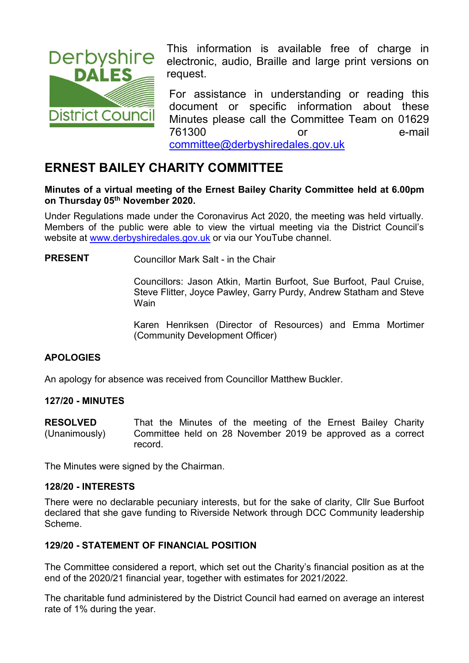

**Derbyshire** This information is available free of charge in **Derbyshire** electronic audio. Braille and large print versions on electronic, audio, Braille and large print versions on request.

> For assistance in understanding or reading this document or specific information about these Minutes please call the Committee Team on 01629 761300 or e-mail [committee@derbyshiredales.gov.uk](mailto:brian.evans@derbyshiredales.gov.uk)

# **ERNEST BAILEY CHARITY COMMITTEE**

#### **Minutes of a virtual meeting of the Ernest Bailey Charity Committee held at 6.00pm on Thursday 05 th November 2020.**

Under Regulations made under the Coronavirus Act 2020, the meeting was held virtually. Members of the public were able to view the virtual meeting via the District Council's website at [www.derbyshiredales.gov.uk](http://www.derbyshiredales.gov.uk/) or via our YouTube channel.

**PRESENT** Councillor Mark Salt - in the Chair

Councillors: Jason Atkin, Martin Burfoot, Sue Burfoot, Paul Cruise, Steve Flitter, Joyce Pawley, Garry Purdy, Andrew Statham and Steve **Wain** 

Karen Henriksen (Director of Resources) and Emma Mortimer (Community Development Officer)

## **APOLOGIES**

An apology for absence was received from Councillor Matthew Buckler.

#### **127/20 - MINUTES**

**RESOLVED** (Unanimously) That the Minutes of the meeting of the Ernest Bailey Charity Committee held on 28 November 2019 be approved as a correct record.

The Minutes were signed by the Chairman.

#### **128/20 - INTERESTS**

There were no declarable pecuniary interests, but for the sake of clarity, Cllr Sue Burfoot declared that she gave funding to Riverside Network through DCC Community leadership Scheme.

#### **129/20 - STATEMENT OF FINANCIAL POSITION**

The Committee considered a report, which set out the Charity's financial position as at the end of the 2020/21 financial year, together with estimates for 2021/2022.

The charitable fund administered by the District Council had earned on average an interest rate of 1% during the year.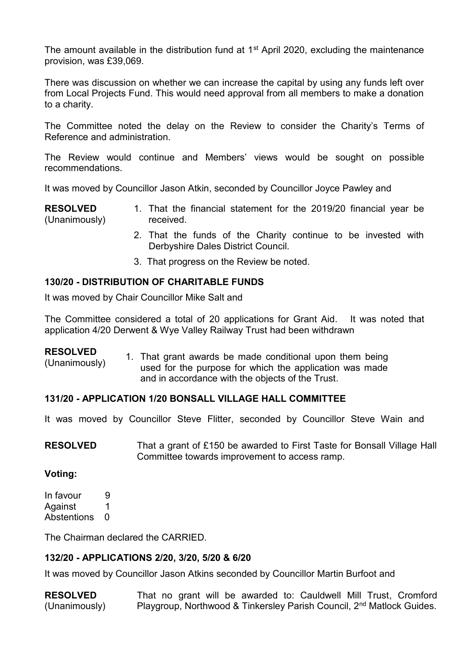The amount available in the distribution fund at  $1<sup>st</sup>$  April 2020, excluding the maintenance provision, was £39,069.

There was discussion on whether we can increase the capital by using any funds left over from Local Projects Fund. This would need approval from all members to make a donation to a charity.

The Committee noted the delay on the Review to consider the Charity's Terms of Reference and administration.

The Review would continue and Members' views would be sought on possible recommendations.

It was moved by Councillor Jason Atkin, seconded by Councillor Joyce Pawley and

**RESOLVED** (Unanimously) 1. That the financial statement for the 2019/20 financial year be received.

- 2. That the funds of the Charity continue to be invested with Derbyshire Dales District Council.
- 3. That progress on the Review be noted.

#### **130/20 - DISTRIBUTION OF CHARITABLE FUNDS**

It was moved by Chair Councillor Mike Salt and

The Committee considered a total of 20 applications for Grant Aid. It was noted that application 4/20 Derwent & Wye Valley Railway Trust had been withdrawn

#### **RESOLVED**

(Unanimously) 1. That grant awards be made conditional upon them being used for the purpose for which the application was made and in accordance with the objects of the Trust.

#### **131/20 - APPLICATION 1/20 BONSALL VILLAGE HALL COMMITTEE**

It was moved by Councillor Steve Flitter, seconded by Councillor Steve Wain and

**RESOLVED** That a grant of £150 be awarded to First Taste for Bonsall Village Hall Committee towards improvement to access ramp.

#### **Voting:**

In favour 9 Against 1 Abstentions 0

The Chairman declared the CARRIED.

#### **132/20 - APPLICATIONS 2/20, 3/20, 5/20 & 6/20**

It was moved by Councillor Jason Atkins seconded by Councillor Martin Burfoot and

**RESOLVED** (Unanimously) That no grant will be awarded to: Cauldwell Mill Trust, Cromford Playgroup, Northwood & Tinkersley Parish Council, 2<sup>nd</sup> Matlock Guides.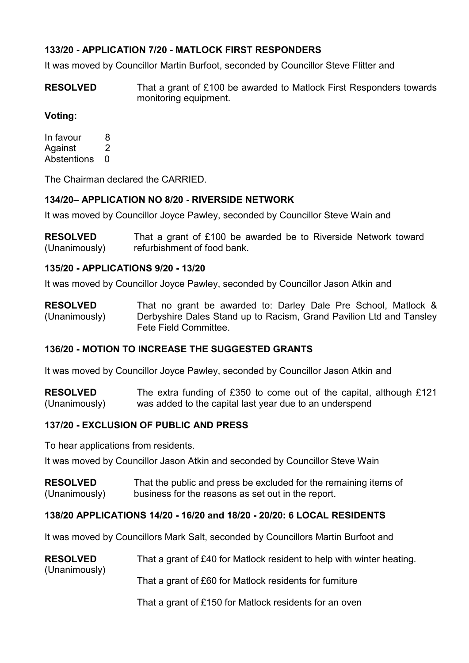## **133/20 - APPLICATION 7/20 - MATLOCK FIRST RESPONDERS**

It was moved by Councillor Martin Burfoot, seconded by Councillor Steve Flitter and

**RESOLVED** That a grant of £100 be awarded to Matlock First Responders towards monitoring equipment.

## **Voting:**

In favour 8 Against 2 Abstentions 0

The Chairman declared the CARRIED.

### **134/20– APPLICATION NO 8/20 - RIVERSIDE NETWORK**

It was moved by Councillor Joyce Pawley, seconded by Councillor Steve Wain and

**RESOLVED** (Unanimously) That a grant of £100 be awarded be to Riverside Network toward refurbishment of food bank.

#### **135/20 - APPLICATIONS 9/20 - 13/20**

It was moved by Councillor Joyce Pawley, seconded by Councillor Jason Atkin and

**RESOLVED** (Unanimously) That no grant be awarded to: Darley Dale Pre School, Matlock & Derbyshire Dales Stand up to Racism, Grand Pavilion Ltd and Tansley Fete Field Committee.

## **136/20 - MOTION TO INCREASE THE SUGGESTED GRANTS**

It was moved by Councillor Joyce Pawley, seconded by Councillor Jason Atkin and

**RESOLVED** (Unanimously) The extra funding of £350 to come out of the capital, although £121 was added to the capital last year due to an underspend

## **137/20 - EXCLUSION OF PUBLIC AND PRESS**

To hear applications from residents.

(Unanimously)

It was moved by Councillor Jason Atkin and seconded by Councillor Steve Wain

**RESOLVED** (Unanimously) That the public and press be excluded for the remaining items of business for the reasons as set out in the report.

#### **138/20 APPLICATIONS 14/20 - 16/20 and 18/20 - 20/20: 6 LOCAL RESIDENTS**

It was moved by Councillors Mark Salt, seconded by Councillors Martin Burfoot and

| <b>RESOLVED</b><br>That a grant of £40 for Matlock resident to help with winter heating. |
|------------------------------------------------------------------------------------------|
|------------------------------------------------------------------------------------------|

That a grant of £60 for Matlock residents for furniture

That a grant of £150 for Matlock residents for an oven